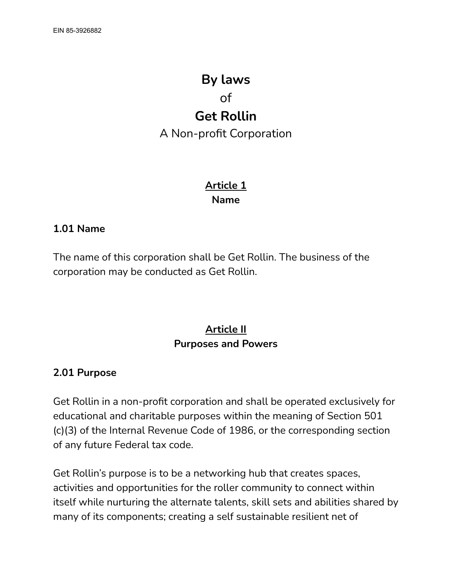# **By laws** of **Get Rollin** A Non-profit Corporation

#### **Article 1 Name**

#### **1.01 Name**

The name of this corporation shall be Get Rollin. The business of the corporation may be conducted as Get Rollin.

## **Article II Purposes and Powers**

#### **2.01 Purpose**

Get Rollin in a non-profit corporation and shall be operated exclusively for educational and charitable purposes within the meaning of Section 501 (c)(3) of the Internal Revenue Code of 1986, or the corresponding section of any future Federal tax code.

Get Rollin's purpose is to be a networking hub that creates spaces, activities and opportunities for the roller community to connect within itself while nurturing the alternate talents, skill sets and abilities shared by many of its components; creating a self sustainable resilient net of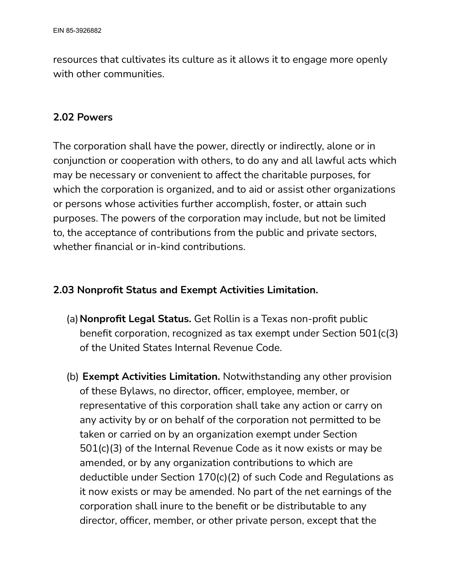resources that cultivates its culture as it allows it to engage more openly with other communities.

### **2.02 Powers**

The corporation shall have the power, directly or indirectly, alone or in conjunction or cooperation with others, to do any and all lawful acts which may be necessary or convenient to affect the charitable purposes, for which the corporation is organized, and to aid or assist other organizations or persons whose activities further accomplish, foster, or attain such purposes. The powers of the corporation may include, but not be limited to, the acceptance of contributions from the public and private sectors, whether financial or in-kind contributions.

### **2.03 Nonprofit Status and Exempt Activities Limitation.**

- (a)**Nonprofit Legal Status.** Get Rollin is a Texas non-profit public benefit corporation, recognized as tax exempt under Section 501(c(3) of the United States Internal Revenue Code.
- (b) **Exempt Activities Limitation.** Notwithstanding any other provision of these Bylaws, no director, officer, employee, member, or representative of this corporation shall take any action or carry on any activity by or on behalf of the corporation not permitted to be taken or carried on by an organization exempt under Section 501(c)(3) of the Internal Revenue Code as it now exists or may be amended, or by any organization contributions to which are deductible under Section 170(c)(2) of such Code and Regulations as it now exists or may be amended. No part of the net earnings of the corporation shall inure to the benefit or be distributable to any director, officer, member, or other private person, except that the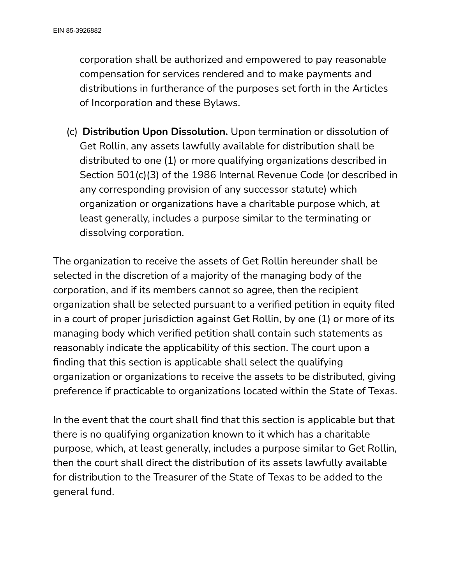corporation shall be authorized and empowered to pay reasonable compensation for services rendered and to make payments and distributions in furtherance of the purposes set forth in the Articles of Incorporation and these Bylaws.

(c) **Distribution Upon Dissolution.** Upon termination or dissolution of Get Rollin, any assets lawfully available for distribution shall be distributed to one (1) or more qualifying organizations described in Section 501(c)(3) of the 1986 Internal Revenue Code (or described in any corresponding provision of any successor statute) which organization or organizations have a charitable purpose which, at least generally, includes a purpose similar to the terminating or dissolving corporation.

The organization to receive the assets of Get Rollin hereunder shall be selected in the discretion of a majority of the managing body of the corporation, and if its members cannot so agree, then the recipient organization shall be selected pursuant to a verified petition in equity filed in a court of proper jurisdiction against Get Rollin, by one (1) or more of its managing body which verified petition shall contain such statements as reasonably indicate the applicability of this section. The court upon a finding that this section is applicable shall select the qualifying organization or organizations to receive the assets to be distributed, giving preference if practicable to organizations located within the State of Texas.

In the event that the court shall find that this section is applicable but that there is no qualifying organization known to it which has a charitable purpose, which, at least generally, includes a purpose similar to Get Rollin, then the court shall direct the distribution of its assets lawfully available for distribution to the Treasurer of the State of Texas to be added to the general fund.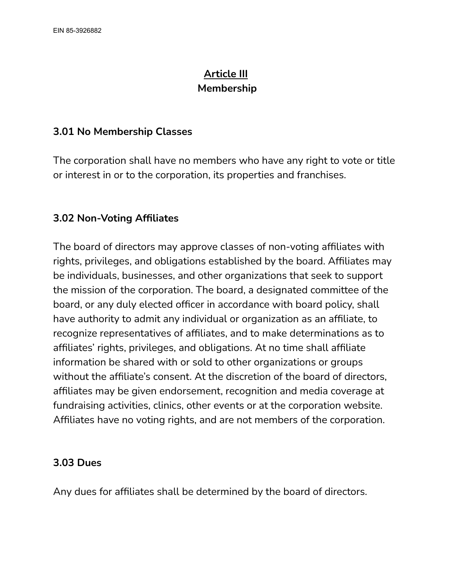## **Article III Membership**

#### **3.01 No Membership Classes**

The corporation shall have no members who have any right to vote or title or interest in or to the corporation, its properties and franchises.

#### **3.02 Non-Voting Affiliates**

The board of directors may approve classes of non-voting affiliates with rights, privileges, and obligations established by the board. Affiliates may be individuals, businesses, and other organizations that seek to support the mission of the corporation. The board, a designated committee of the board, or any duly elected officer in accordance with board policy, shall have authority to admit any individual or organization as an affiliate, to recognize representatives of affiliates, and to make determinations as to affiliates' rights, privileges, and obligations. At no time shall affiliate information be shared with or sold to other organizations or groups without the affiliate's consent. At the discretion of the board of directors, affiliates may be given endorsement, recognition and media coverage at fundraising activities, clinics, other events or at the corporation website. Affiliates have no voting rights, and are not members of the corporation.

#### **3.03 Dues**

Any dues for affiliates shall be determined by the board of directors.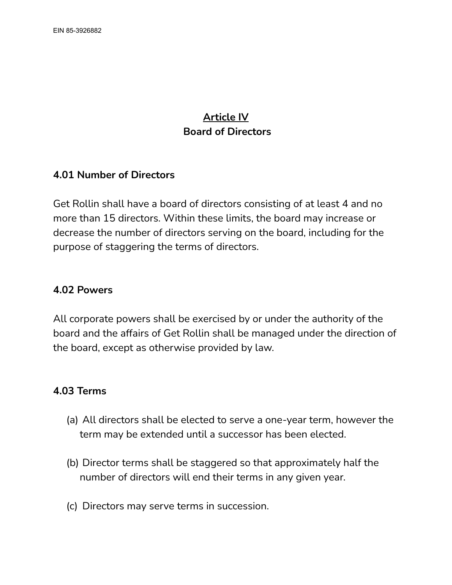## **Article IV Board of Directors**

#### **4.01 Number of Directors**

Get Rollin shall have a board of directors consisting of at least 4 and no more than 15 directors. Within these limits, the board may increase or decrease the number of directors serving on the board, including for the purpose of staggering the terms of directors.

#### **4.02 Powers**

All corporate powers shall be exercised by or under the authority of the board and the affairs of Get Rollin shall be managed under the direction of the board, except as otherwise provided by law.

#### **4.03 Terms**

- (a) All directors shall be elected to serve a one-year term, however the term may be extended until a successor has been elected.
- (b) Director terms shall be staggered so that approximately half the number of directors will end their terms in any given year.
- (c) Directors may serve terms in succession.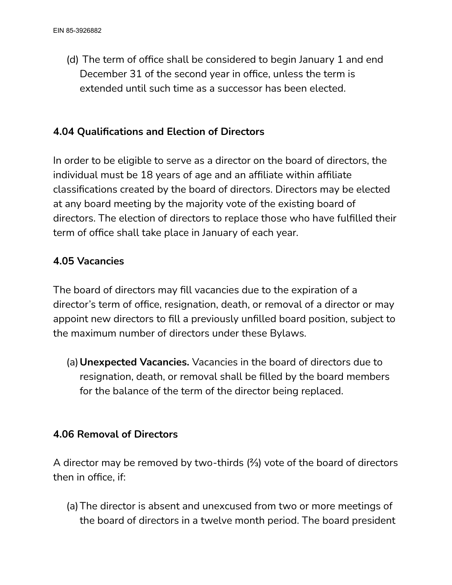(d) The term of office shall be considered to begin January 1 and end December 31 of the second year in office, unless the term is extended until such time as a successor has been elected.

### **4.04 Qualifications and Election of Directors**

In order to be eligible to serve as a director on the board of directors, the individual must be 18 years of age and an affiliate within affiliate classifications created by the board of directors. Directors may be elected at any board meeting by the majority vote of the existing board of directors. The election of directors to replace those who have fulfilled their term of office shall take place in January of each year.

#### **4.05 Vacancies**

The board of directors may fill vacancies due to the expiration of a director's term of office, resignation, death, or removal of a director or may appoint new directors to fill a previously unfilled board position, subject to the maximum number of directors under these Bylaws.

(a)**Unexpected Vacancies.** Vacancies in the board of directors due to resignation, death, or removal shall be filled by the board members for the balance of the term of the director being replaced.

#### **4.06 Removal of Directors**

A director may be removed by two-thirds (⅔) vote of the board of directors then in office, if:

(a)The director is absent and unexcused from two or more meetings of the board of directors in a twelve month period. The board president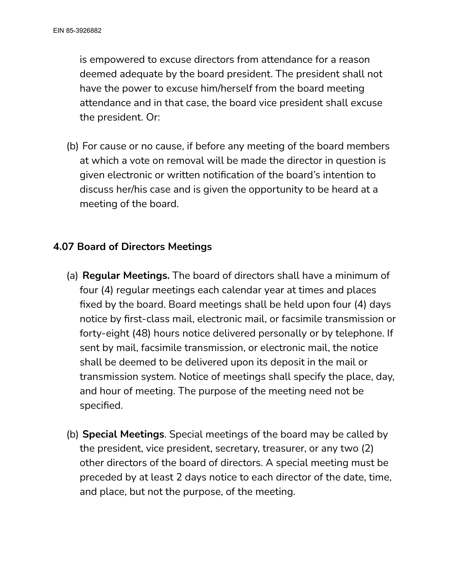is empowered to excuse directors from attendance for a reason deemed adequate by the board president. The president shall not have the power to excuse him/herself from the board meeting attendance and in that case, the board vice president shall excuse the president. Or:

(b) For cause or no cause, if before any meeting of the board members at which a vote on removal will be made the director in question is given electronic or written notification of the board's intention to discuss her/his case and is given the opportunity to be heard at a meeting of the board.

#### **4.07 Board of Directors Meetings**

- (a) **Regular Meetings.** The board of directors shall have a minimum of four (4) regular meetings each calendar year at times and places fixed by the board. Board meetings shall be held upon four (4) days notice by first-class mail, electronic mail, or facsimile transmission or forty-eight (48) hours notice delivered personally or by telephone. If sent by mail, facsimile transmission, or electronic mail, the notice shall be deemed to be delivered upon its deposit in the mail or transmission system. Notice of meetings shall specify the place, day, and hour of meeting. The purpose of the meeting need not be specified.
- (b) **Special Meetings**. Special meetings of the board may be called by the president, vice president, secretary, treasurer, or any two (2) other directors of the board of directors. A special meeting must be preceded by at least 2 days notice to each director of the date, time, and place, but not the purpose, of the meeting.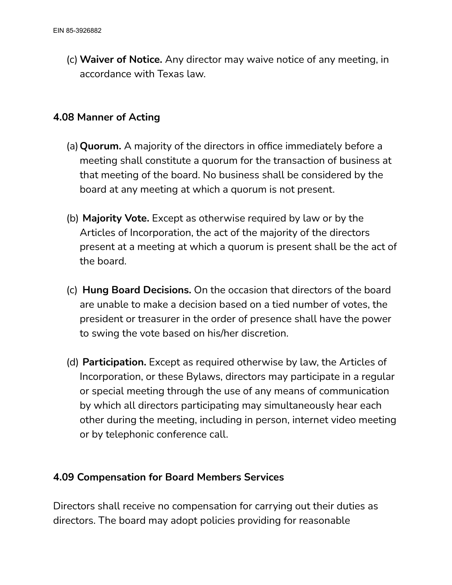(c) **Waiver of Notice.** Any director may waive notice of any meeting, in accordance with Texas law.

#### **4.08 Manner of Acting**

- (a)**Quorum.** A majority of the directors in office immediately before a meeting shall constitute a quorum for the transaction of business at that meeting of the board. No business shall be considered by the board at any meeting at which a quorum is not present.
- (b) **Majority Vote.** Except as otherwise required by law or by the Articles of Incorporation, the act of the majority of the directors present at a meeting at which a quorum is present shall be the act of the board.
- (c) **Hung Board Decisions.** On the occasion that directors of the board are unable to make a decision based on a tied number of votes, the president or treasurer in the order of presence shall have the power to swing the vote based on his/her discretion.
- (d) **Participation.** Except as required otherwise by law, the Articles of Incorporation, or these Bylaws, directors may participate in a regular or special meeting through the use of any means of communication by which all directors participating may simultaneously hear each other during the meeting, including in person, internet video meeting or by telephonic conference call.

#### **4.09 Compensation for Board Members Services**

Directors shall receive no compensation for carrying out their duties as directors. The board may adopt policies providing for reasonable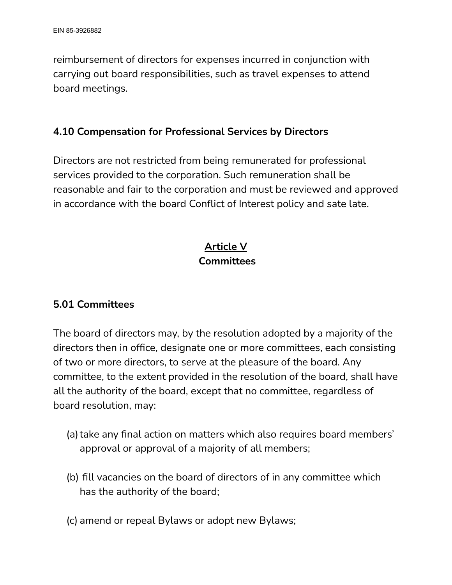reimbursement of directors for expenses incurred in conjunction with carrying out board responsibilities, such as travel expenses to attend board meetings.

#### **4.10 Compensation for Professional Services by Directors**

Directors are not restricted from being remunerated for professional services provided to the corporation. Such remuneration shall be reasonable and fair to the corporation and must be reviewed and approved in accordance with the board Conflict of Interest policy and sate late.

## **Article V Committees**

#### **5.01 Committees**

The board of directors may, by the resolution adopted by a majority of the directors then in office, designate one or more committees, each consisting of two or more directors, to serve at the pleasure of the board. Any committee, to the extent provided in the resolution of the board, shall have all the authority of the board, except that no committee, regardless of board resolution, may:

- (a) take any final action on matters which also requires board members' approval or approval of a majority of all members;
- (b) fill vacancies on the board of directors of in any committee which has the authority of the board;
- (c) amend or repeal Bylaws or adopt new Bylaws;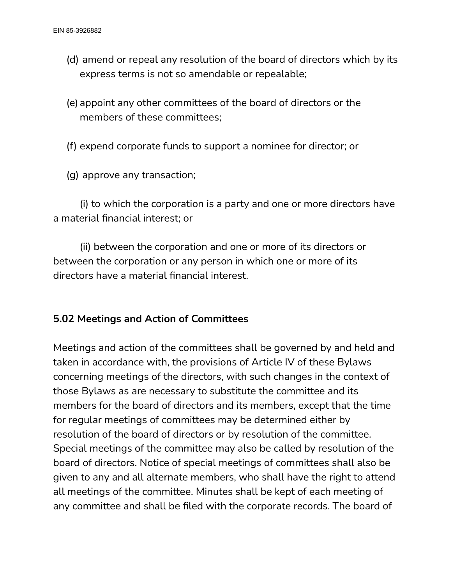- (d) amend or repeal any resolution of the board of directors which by its express terms is not so amendable or repealable;
- (e) appoint any other committees of the board of directors or the members of these committees;
- (f) expend corporate funds to support a nominee for director; or
- (g) approve any transaction;

(i) to which the corporation is a party and one or more directors have a material financial interest; or

(ii) between the corporation and one or more of its directors or between the corporation or any person in which one or more of its directors have a material financial interest.

#### **5.02 Meetings and Action of Committees**

Meetings and action of the committees shall be governed by and held and taken in accordance with, the provisions of Article IV of these Bylaws concerning meetings of the directors, with such changes in the context of those Bylaws as are necessary to substitute the committee and its members for the board of directors and its members, except that the time for regular meetings of committees may be determined either by resolution of the board of directors or by resolution of the committee. Special meetings of the committee may also be called by resolution of the board of directors. Notice of special meetings of committees shall also be given to any and all alternate members, who shall have the right to attend all meetings of the committee. Minutes shall be kept of each meeting of any committee and shall be filed with the corporate records. The board of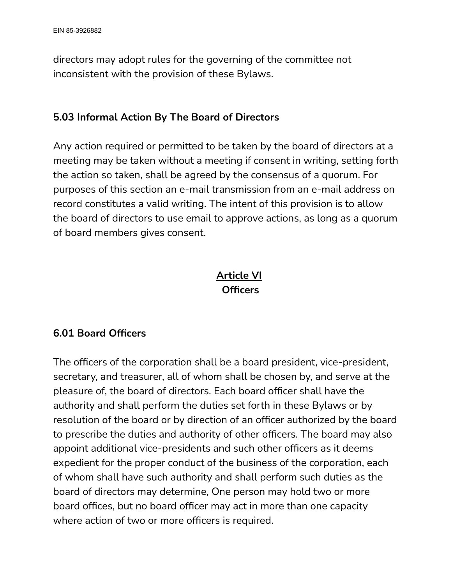directors may adopt rules for the governing of the committee not inconsistent with the provision of these Bylaws.

### **5.03 Informal Action By The Board of Directors**

Any action required or permitted to be taken by the board of directors at a meeting may be taken without a meeting if consent in writing, setting forth the action so taken, shall be agreed by the consensus of a quorum. For purposes of this section an e-mail transmission from an e-mail address on record constitutes a valid writing. The intent of this provision is to allow the board of directors to use email to approve actions, as long as a quorum of board members gives consent.

## **Article VI Officers**

## **6.01 Board Officers**

The officers of the corporation shall be a board president, vice-president, secretary, and treasurer, all of whom shall be chosen by, and serve at the pleasure of, the board of directors. Each board officer shall have the authority and shall perform the duties set forth in these Bylaws or by resolution of the board or by direction of an officer authorized by the board to prescribe the duties and authority of other officers. The board may also appoint additional vice-presidents and such other officers as it deems expedient for the proper conduct of the business of the corporation, each of whom shall have such authority and shall perform such duties as the board of directors may determine, One person may hold two or more board offices, but no board officer may act in more than one capacity where action of two or more officers is required.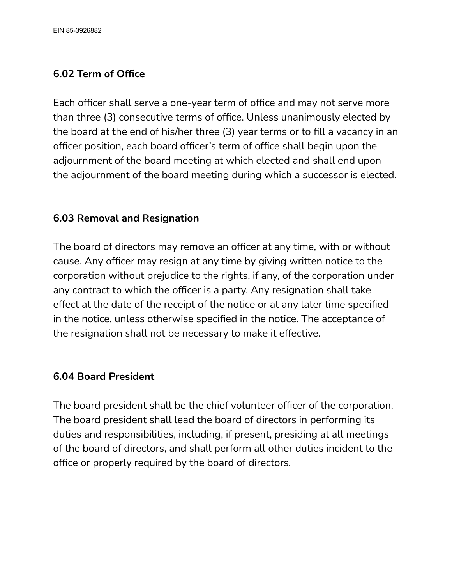## **6.02 Term of Office**

Each officer shall serve a one-year term of office and may not serve more than three (3) consecutive terms of office. Unless unanimously elected by the board at the end of his/her three (3) year terms or to fill a vacancy in an officer position, each board officer's term of office shall begin upon the adjournment of the board meeting at which elected and shall end upon the adjournment of the board meeting during which a successor is elected.

#### **6.03 Removal and Resignation**

The board of directors may remove an officer at any time, with or without cause. Any officer may resign at any time by giving written notice to the corporation without prejudice to the rights, if any, of the corporation under any contract to which the officer is a party. Any resignation shall take effect at the date of the receipt of the notice or at any later time specified in the notice, unless otherwise specified in the notice. The acceptance of the resignation shall not be necessary to make it effective.

#### **6.04 Board President**

The board president shall be the chief volunteer officer of the corporation. The board president shall lead the board of directors in performing its duties and responsibilities, including, if present, presiding at all meetings of the board of directors, and shall perform all other duties incident to the office or properly required by the board of directors.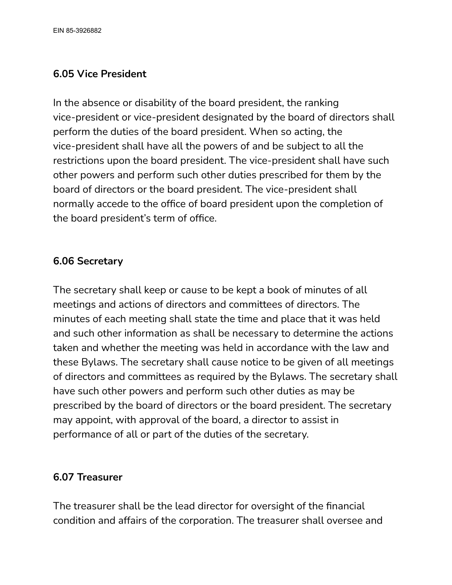### **6.05 Vice President**

In the absence or disability of the board president, the ranking vice-president or vice-president designated by the board of directors shall perform the duties of the board president. When so acting, the vice-president shall have all the powers of and be subject to all the restrictions upon the board president. The vice-president shall have such other powers and perform such other duties prescribed for them by the board of directors or the board president. The vice-president shall normally accede to the office of board president upon the completion of the board president's term of office.

#### **6.06 Secretary**

The secretary shall keep or cause to be kept a book of minutes of all meetings and actions of directors and committees of directors. The minutes of each meeting shall state the time and place that it was held and such other information as shall be necessary to determine the actions taken and whether the meeting was held in accordance with the law and these Bylaws. The secretary shall cause notice to be given of all meetings of directors and committees as required by the Bylaws. The secretary shall have such other powers and perform such other duties as may be prescribed by the board of directors or the board president. The secretary may appoint, with approval of the board, a director to assist in performance of all or part of the duties of the secretary.

#### **6.07 Treasurer**

The treasurer shall be the lead director for oversight of the financial condition and affairs of the corporation. The treasurer shall oversee and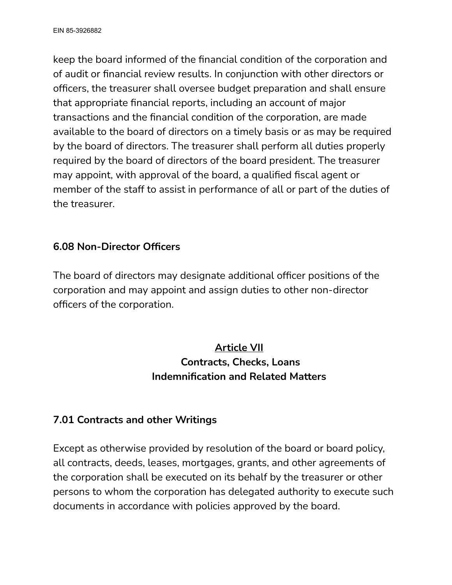keep the board informed of the financial condition of the corporation and of audit or financial review results. In conjunction with other directors or officers, the treasurer shall oversee budget preparation and shall ensure that appropriate financial reports, including an account of major transactions and the financial condition of the corporation, are made available to the board of directors on a timely basis or as may be required by the board of directors. The treasurer shall perform all duties properly required by the board of directors of the board president. The treasurer may appoint, with approval of the board, a qualified fiscal agent or member of the staff to assist in performance of all or part of the duties of the treasurer.

## **6.08 Non-Director Officers**

The board of directors may designate additional officer positions of the corporation and may appoint and assign duties to other non-director officers of the corporation.

## **Article VII Contracts, Checks, Loans Indemnification and Related Matters**

## **7.01 Contracts and other Writings**

Except as otherwise provided by resolution of the board or board policy, all contracts, deeds, leases, mortgages, grants, and other agreements of the corporation shall be executed on its behalf by the treasurer or other persons to whom the corporation has delegated authority to execute such documents in accordance with policies approved by the board.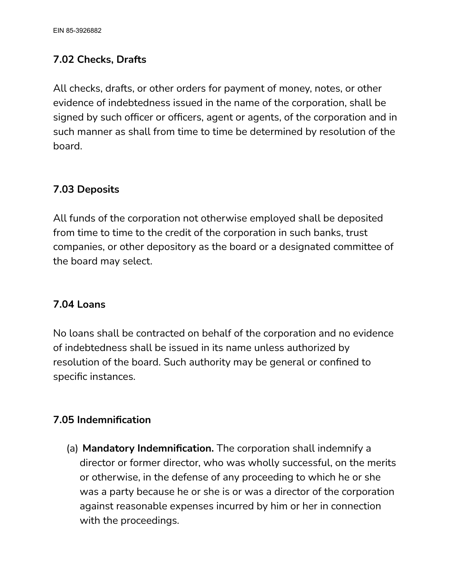## **7.02 Checks, Drafts**

All checks, drafts, or other orders for payment of money, notes, or other evidence of indebtedness issued in the name of the corporation, shall be signed by such officer or officers, agent or agents, of the corporation and in such manner as shall from time to time be determined by resolution of the board.

## **7.03 Deposits**

All funds of the corporation not otherwise employed shall be deposited from time to time to the credit of the corporation in such banks, trust companies, or other depository as the board or a designated committee of the board may select.

#### **7.04 Loans**

No loans shall be contracted on behalf of the corporation and no evidence of indebtedness shall be issued in its name unless authorized by resolution of the board. Such authority may be general or confined to specific instances.

## **7.05 Indemnification**

(a) **Mandatory Indemnification.** The corporation shall indemnify a director or former director, who was wholly successful, on the merits or otherwise, in the defense of any proceeding to which he or she was a party because he or she is or was a director of the corporation against reasonable expenses incurred by him or her in connection with the proceedings.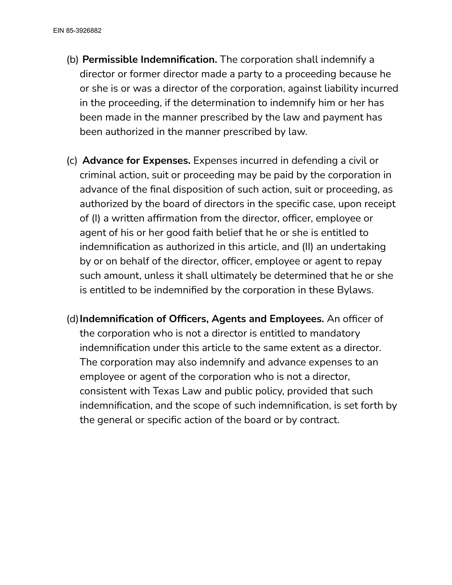- (b) **Permissible Indemnification.** The corporation shall indemnify a director or former director made a party to a proceeding because he or she is or was a director of the corporation, against liability incurred in the proceeding, if the determination to indemnify him or her has been made in the manner prescribed by the law and payment has been authorized in the manner prescribed by law.
- (c) **Advance for Expenses.** Expenses incurred in defending a civil or criminal action, suit or proceeding may be paid by the corporation in advance of the final disposition of such action, suit or proceeding, as authorized by the board of directors in the specific case, upon receipt of (I) a written affirmation from the director, officer, employee or agent of his or her good faith belief that he or she is entitled to indemnification as authorized in this article, and (II) an undertaking by or on behalf of the director, officer, employee or agent to repay such amount, unless it shall ultimately be determined that he or she is entitled to be indemnified by the corporation in these Bylaws.
- (d)**Indemnification of Officers, Agents and Employees.** An officer of the corporation who is not a director is entitled to mandatory indemnification under this article to the same extent as a director. The corporation may also indemnify and advance expenses to an employee or agent of the corporation who is not a director, consistent with Texas Law and public policy, provided that such indemnification, and the scope of such indemnification, is set forth by the general or specific action of the board or by contract.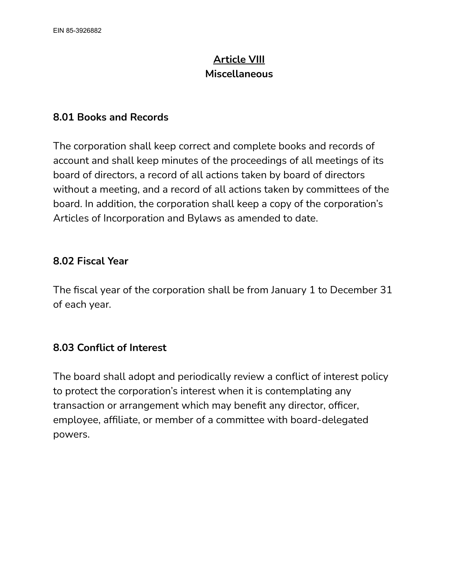## **Article VIII Miscellaneous**

#### **8.01 Books and Records**

The corporation shall keep correct and complete books and records of account and shall keep minutes of the proceedings of all meetings of its board of directors, a record of all actions taken by board of directors without a meeting, and a record of all actions taken by committees of the board. In addition, the corporation shall keep a copy of the corporation's Articles of Incorporation and Bylaws as amended to date.

#### **8.02 Fiscal Year**

The fiscal year of the corporation shall be from January 1 to December 31 of each year.

#### **8.03 Conflict of Interest**

The board shall adopt and periodically review a conflict of interest policy to protect the corporation's interest when it is contemplating any transaction or arrangement which may benefit any director, officer, employee, affiliate, or member of a committee with board-delegated powers.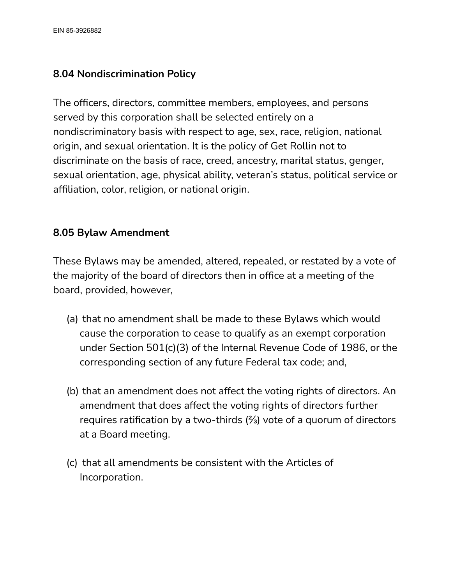#### **8.04 Nondiscrimination Policy**

The officers, directors, committee members, employees, and persons served by this corporation shall be selected entirely on a nondiscriminatory basis with respect to age, sex, race, religion, national origin, and sexual orientation. It is the policy of Get Rollin not to discriminate on the basis of race, creed, ancestry, marital status, genger, sexual orientation, age, physical ability, veteran's status, political service or affiliation, color, religion, or national origin.

#### **8.05 Bylaw Amendment**

These Bylaws may be amended, altered, repealed, or restated by a vote of the majority of the board of directors then in office at a meeting of the board, provided, however,

- (a) that no amendment shall be made to these Bylaws which would cause the corporation to cease to qualify as an exempt corporation under Section 501(c)(3) of the Internal Revenue Code of 1986, or the corresponding section of any future Federal tax code; and,
- (b) that an amendment does not affect the voting rights of directors. An amendment that does affect the voting rights of directors further requires ratification by a two-thirds (⅔) vote of a quorum of directors at a Board meeting.
- (c) that all amendments be consistent with the Articles of Incorporation.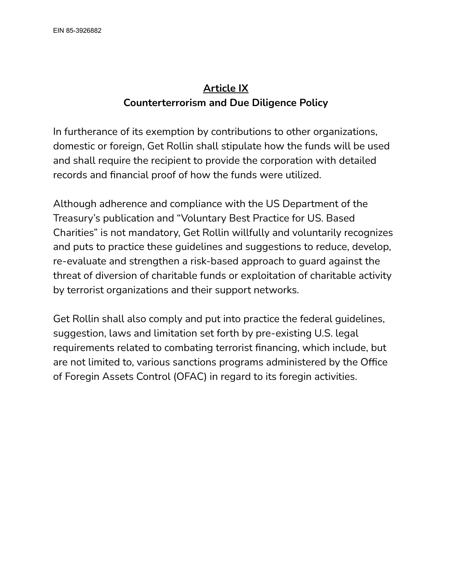## **Article IX Counterterrorism and Due Diligence Policy**

In furtherance of its exemption by contributions to other organizations, domestic or foreign, Get Rollin shall stipulate how the funds will be used and shall require the recipient to provide the corporation with detailed records and financial proof of how the funds were utilized.

Although adherence and compliance with the US Department of the Treasury's publication and "Voluntary Best Practice for US. Based Charities" is not mandatory, Get Rollin willfully and voluntarily recognizes and puts to practice these guidelines and suggestions to reduce, develop, re-evaluate and strengthen a risk-based approach to guard against the threat of diversion of charitable funds or exploitation of charitable activity by terrorist organizations and their support networks.

Get Rollin shall also comply and put into practice the federal guidelines, suggestion, laws and limitation set forth by pre-existing U.S. legal requirements related to combating terrorist financing, which include, but are not limited to, various sanctions programs administered by the Office of Foregin Assets Control (OFAC) in regard to its foregin activities.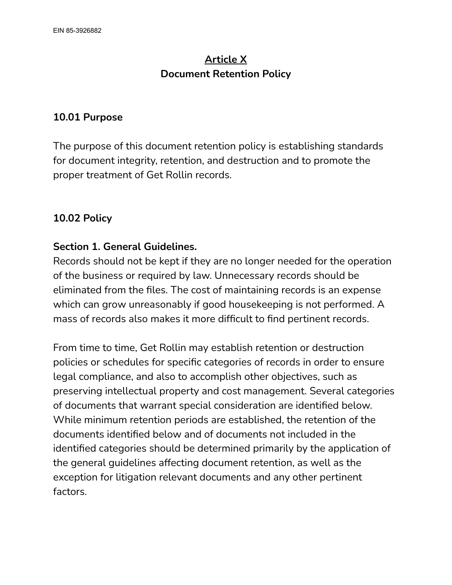## **Article X Document Retention Policy**

#### **10.01 Purpose**

The purpose of this document retention policy is establishing standards for document integrity, retention, and destruction and to promote the proper treatment of Get Rollin records.

#### **10.02 Policy**

#### **Section 1. General Guidelines.**

Records should not be kept if they are no longer needed for the operation of the business or required by law. Unnecessary records should be eliminated from the files. The cost of maintaining records is an expense which can grow unreasonably if good housekeeping is not performed. A mass of records also makes it more difficult to find pertinent records.

From time to time, Get Rollin may establish retention or destruction policies or schedules for specific categories of records in order to ensure legal compliance, and also to accomplish other objectives, such as preserving intellectual property and cost management. Several categories of documents that warrant special consideration are identified below. While minimum retention periods are established, the retention of the documents identified below and of documents not included in the identified categories should be determined primarily by the application of the general guidelines affecting document retention, as well as the exception for litigation relevant documents and any other pertinent factors.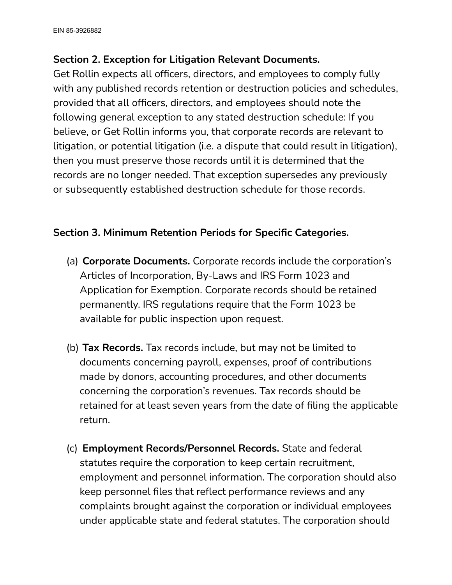### **Section 2. Exception for Litigation Relevant Documents.**

Get Rollin expects all officers, directors, and employees to comply fully with any published records retention or destruction policies and schedules, provided that all officers, directors, and employees should note the following general exception to any stated destruction schedule: If you believe, or Get Rollin informs you, that corporate records are relevant to litigation, or potential litigation (i.e. a dispute that could result in litigation), then you must preserve those records until it is determined that the records are no longer needed. That exception supersedes any previously or subsequently established destruction schedule for those records.

### **Section 3. Minimum Retention Periods for Specific Categories.**

- (a) **Corporate Documents.** Corporate records include the corporation's Articles of Incorporation, By-Laws and IRS Form 1023 and Application for Exemption. Corporate records should be retained permanently. IRS regulations require that the Form 1023 be available for public inspection upon request.
- (b) **Tax Records.** Tax records include, but may not be limited to documents concerning payroll, expenses, proof of contributions made by donors, accounting procedures, and other documents concerning the corporation's revenues. Tax records should be retained for at least seven years from the date of filing the applicable return.
- (c) **Employment Records/Personnel Records.** State and federal statutes require the corporation to keep certain recruitment, employment and personnel information. The corporation should also keep personnel files that reflect performance reviews and any complaints brought against the corporation or individual employees under applicable state and federal statutes. The corporation should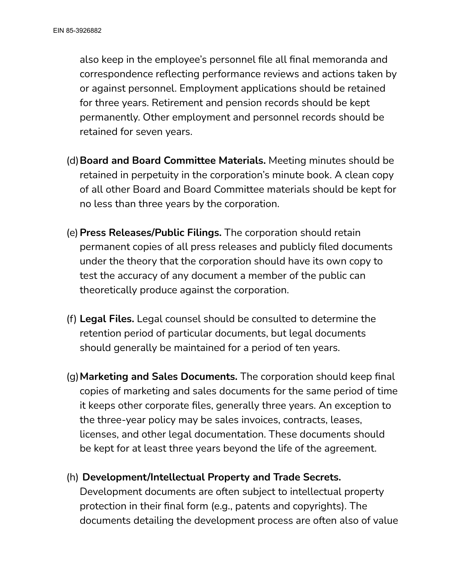also keep in the employee's personnel file all final memoranda and correspondence reflecting performance reviews and actions taken by or against personnel. Employment applications should be retained for three years. Retirement and pension records should be kept permanently. Other employment and personnel records should be retained for seven years.

- (d)**Board and Board Committee Materials.** Meeting minutes should be retained in perpetuity in the corporation's minute book. A clean copy of all other Board and Board Committee materials should be kept for no less than three years by the corporation.
- (e)**Press Releases/Public Filings.** The corporation should retain permanent copies of all press releases and publicly filed documents under the theory that the corporation should have its own copy to test the accuracy of any document a member of the public can theoretically produce against the corporation.
- (f) **Legal Files.** Legal counsel should be consulted to determine the retention period of particular documents, but legal documents should generally be maintained for a period of ten years.
- (g)**Marketing and Sales Documents.** The corporation should keep final copies of marketing and sales documents for the same period of time it keeps other corporate files, generally three years. An exception to the three-year policy may be sales invoices, contracts, leases, licenses, and other legal documentation. These documents should be kept for at least three years beyond the life of the agreement.
- (h) **Development/Intellectual Property and Trade Secrets.** Development documents are often subject to intellectual property protection in their final form (e.g., patents and copyrights). The documents detailing the development process are often also of value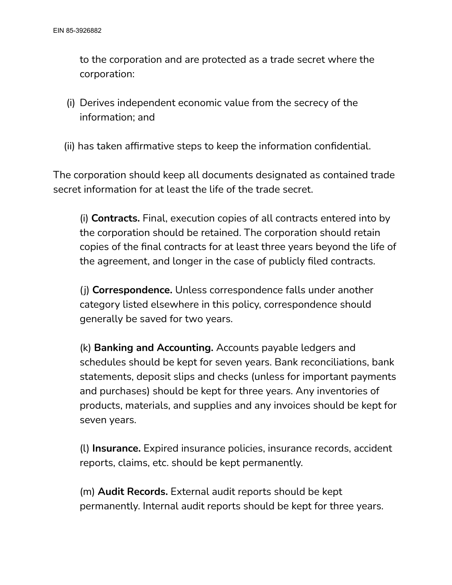to the corporation and are protected as a trade secret where the corporation:

- (i) Derives independent economic value from the secrecy of the information; and
- (ii) has taken affirmative steps to keep the information confidential.

The corporation should keep all documents designated as contained trade secret information for at least the life of the trade secret.

(i) **Contracts.** Final, execution copies of all contracts entered into by the corporation should be retained. The corporation should retain copies of the final contracts for at least three years beyond the life of the agreement, and longer in the case of publicly filed contracts.

(j) **Correspondence.** Unless correspondence falls under another category listed elsewhere in this policy, correspondence should generally be saved for two years.

(k) **Banking and Accounting.** Accounts payable ledgers and schedules should be kept for seven years. Bank reconciliations, bank statements, deposit slips and checks (unless for important payments and purchases) should be kept for three years. Any inventories of products, materials, and supplies and any invoices should be kept for seven years.

(l) **Insurance.** Expired insurance policies, insurance records, accident reports, claims, etc. should be kept permanently.

(m) **Audit Records.** External audit reports should be kept permanently. Internal audit reports should be kept for three years.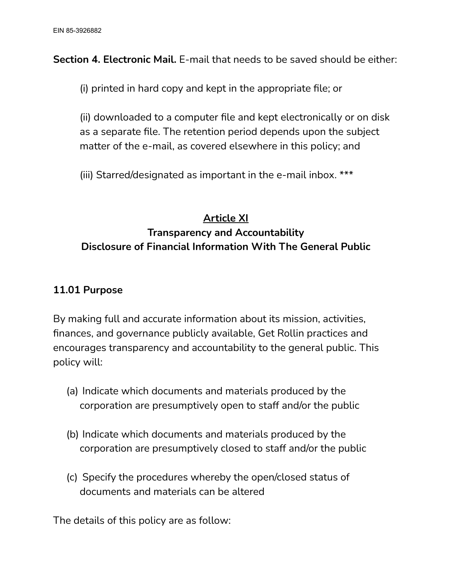**Section 4. Electronic Mail.** E-mail that needs to be saved should be either:

(i) printed in hard copy and kept in the appropriate file; or

(ii) downloaded to a computer file and kept electronically or on disk as a separate file. The retention period depends upon the subject matter of the e-mail, as covered elsewhere in this policy; and

(iii) Starred/designated as important in the e-mail inbox. \*\*\*

## **Article XI Transparency and Accountability Disclosure of Financial Information With The General Public**

## **11.01 Purpose**

By making full and accurate information about its mission, activities, finances, and governance publicly available, Get Rollin practices and encourages transparency and accountability to the general public. This policy will:

- (a) Indicate which documents and materials produced by the corporation are presumptively open to staff and/or the public
- (b) Indicate which documents and materials produced by the corporation are presumptively closed to staff and/or the public
- (c) Specify the procedures whereby the open/closed status of documents and materials can be altered

The details of this policy are as follow: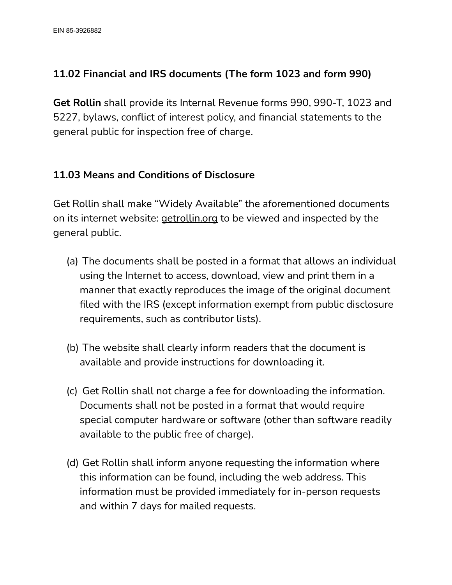### **11.02 Financial and IRS documents (The form 1023 and form 990)**

**Get Rollin** shall provide its Internal Revenue forms 990, 990-T, 1023 and 5227, bylaws, conflict of interest policy, and financial statements to the general public for inspection free of charge.

#### **11.03 Means and Conditions of Disclosure**

Get Rollin shall make "Widely Available" the aforementioned documents on its internet website: getrollin.org to be viewed and inspected by the general public.

- (a) The documents shall be posted in a format that allows an individual using the Internet to access, download, view and print them in a manner that exactly reproduces the image of the original document filed with the IRS (except information exempt from public disclosure requirements, such as contributor lists).
- (b) The website shall clearly inform readers that the document is available and provide instructions for downloading it.
- (c) Get Rollin shall not charge a fee for downloading the information. Documents shall not be posted in a format that would require special computer hardware or software (other than software readily available to the public free of charge).
- (d) Get Rollin shall inform anyone requesting the information where this information can be found, including the web address. This information must be provided immediately for in-person requests and within 7 days for mailed requests.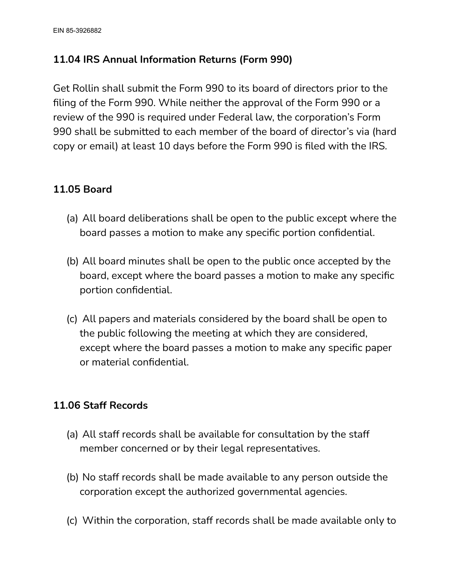## **11.04 IRS Annual Information Returns (Form 990)**

Get Rollin shall submit the Form 990 to its board of directors prior to the filing of the Form 990. While neither the approval of the Form 990 or a review of the 990 is required under Federal law, the corporation's Form 990 shall be submitted to each member of the board of director's via (hard copy or email) at least 10 days before the Form 990 is filed with the IRS.

## **11.05 Board**

- (a) All board deliberations shall be open to the public except where the board passes a motion to make any specific portion confidential.
- (b) All board minutes shall be open to the public once accepted by the board, except where the board passes a motion to make any specific portion confidential.
- (c) All papers and materials considered by the board shall be open to the public following the meeting at which they are considered, except where the board passes a motion to make any specific paper or material confidential.

## **11.06 Staff Records**

- (a) All staff records shall be available for consultation by the staff member concerned or by their legal representatives.
- (b) No staff records shall be made available to any person outside the corporation except the authorized governmental agencies.
- (c) Within the corporation, staff records shall be made available only to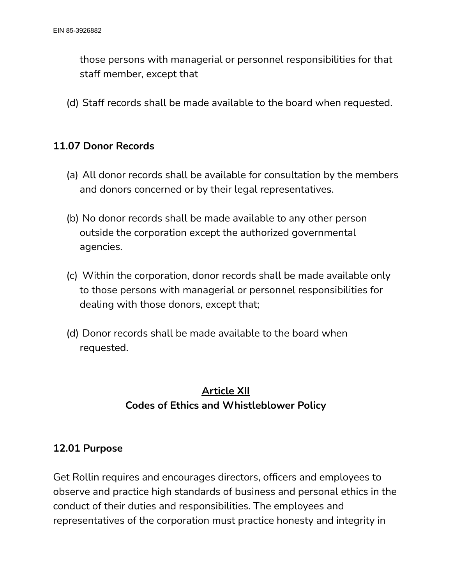those persons with managerial or personnel responsibilities for that staff member, except that

(d) Staff records shall be made available to the board when requested.

#### **11.07 Donor Records**

- (a) All donor records shall be available for consultation by the members and donors concerned or by their legal representatives.
- (b) No donor records shall be made available to any other person outside the corporation except the authorized governmental agencies.
- (c) Within the corporation, donor records shall be made available only to those persons with managerial or personnel responsibilities for dealing with those donors, except that;
- (d) Donor records shall be made available to the board when requested.

## **Article XII Codes of Ethics and Whistleblower Policy**

#### **12.01 Purpose**

Get Rollin requires and encourages directors, officers and employees to observe and practice high standards of business and personal ethics in the conduct of their duties and responsibilities. The employees and representatives of the corporation must practice honesty and integrity in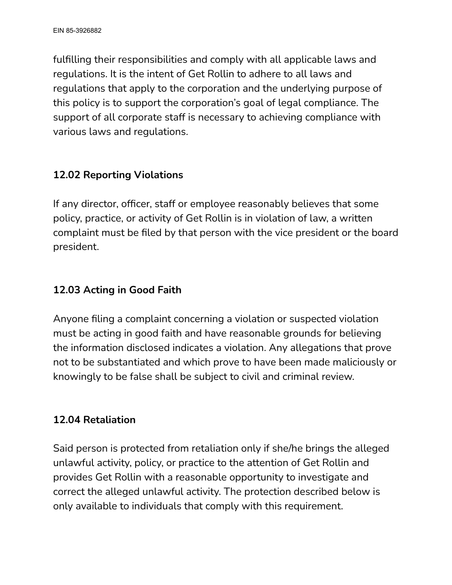fulfilling their responsibilities and comply with all applicable laws and regulations. It is the intent of Get Rollin to adhere to all laws and regulations that apply to the corporation and the underlying purpose of this policy is to support the corporation's goal of legal compliance. The support of all corporate staff is necessary to achieving compliance with various laws and regulations.

## **12.02 Reporting Violations**

If any director, officer, staff or employee reasonably believes that some policy, practice, or activity of Get Rollin is in violation of law, a written complaint must be filed by that person with the vice president or the board president.

## **12.03 Acting in Good Faith**

Anyone filing a complaint concerning a violation or suspected violation must be acting in good faith and have reasonable grounds for believing the information disclosed indicates a violation. Any allegations that prove not to be substantiated and which prove to have been made maliciously or knowingly to be false shall be subject to civil and criminal review.

## **12.04 Retaliation**

Said person is protected from retaliation only if she/he brings the alleged unlawful activity, policy, or practice to the attention of Get Rollin and provides Get Rollin with a reasonable opportunity to investigate and correct the alleged unlawful activity. The protection described below is only available to individuals that comply with this requirement.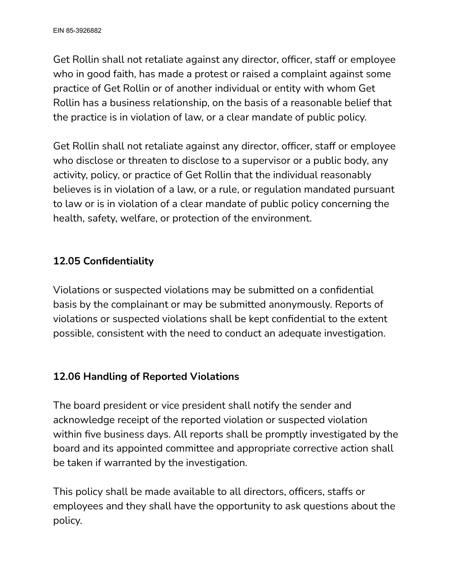Get Rollin shall not retaliate against any director, officer, staff or employee who in good faith, has made a protest or raised a complaint against some practice of Get Rollin or of another individual or entity with whom Get Rollin has a business relationship, on the basis of a reasonable belief that the practice is in violation of law, or a clear mandate of public policy.

Get Rollin shall not retaliate against any director, officer, staff or employee who disclose or threaten to disclose to a supervisor or a public body, any activity, policy, or practice of Get Rollin that the individual reasonably believes is in violation of a law, or a rule, or regulation mandated pursuant to law or is in violation of a clear mandate of public policy concerning the health, safety, welfare, or protection of the environment.

## **12.05 Confidentiality**

Violations or suspected violations may be submitted on a confidential basis by the complainant or may be submitted anonymously. Reports of violations or suspected violations shall be kept confidential to the extent possible, consistent with the need to conduct an adequate investigation.

## **12.06 Handling of Reported Violations**

The board president or vice president shall notify the sender and acknowledge receipt of the reported violation or suspected violation within five business days. All reports shall be promptly investigated by the board and its appointed committee and appropriate corrective action shall be taken if warranted by the investigation.

This policy shall be made available to all directors, officers, staffs or employees and they shall have the opportunity to ask questions about the policy.